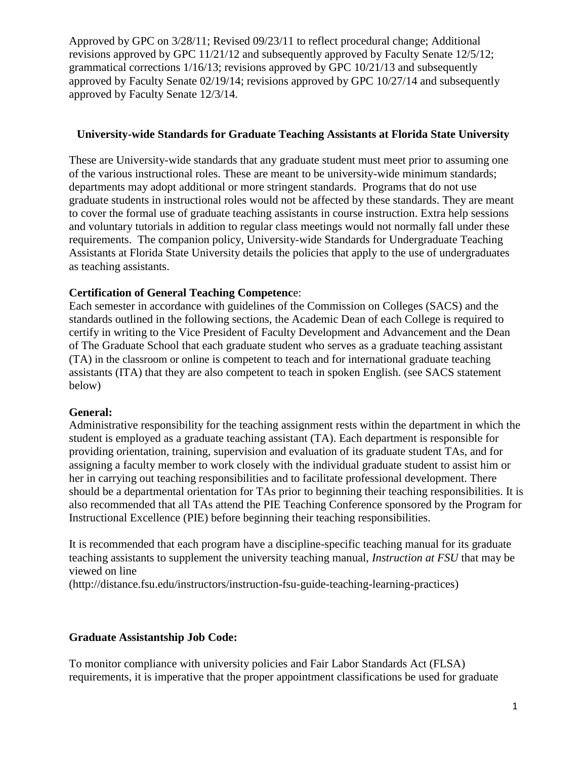#### **University-wide Standards for Graduate Teaching Assistants at Florida State University**

These are University-wide standards that any graduate student must meet prior to assuming one of the various instructional roles. These are meant to be university-wide minimum standards; departments may adopt additional or more stringent standards. Programs that do not use graduate students in instructional roles would not be affected by these standards. They are meant to cover the formal use of graduate teaching assistants in course instruction. Extra help sessions and voluntary tutorials in addition to regular class meetings would not normally fall under these requirements. The companion policy, University-wide Standards for Undergraduate Teaching Assistants at Florida State University details the policies that apply to the use of undergraduates as teaching assistants.

## **Certification of General Teaching Competenc**e:

Each semester in accordance with guidelines of the Commission on Colleges (SACS) and the standards outlined in the following sections, the Academic Dean of each College is required to certify in writing to the Vice President of Faculty Development and Advancement and the Dean of The Graduate School that each graduate student who serves as a graduate teaching assistant (TA) in the classroom or online is competent to teach and for international graduate teaching assistants (ITA) that they are also competent to teach in spoken English. (see SACS statement below)

## **General:**

Administrative responsibility for the teaching assignment rests within the department in which the student is employed as a graduate teaching assistant (TA). Each department is responsible for providing orientation, training, supervision and evaluation of its graduate student TAs, and for assigning a faculty member to work closely with the individual graduate student to assist him or her in carrying out teaching responsibilities and to facilitate professional development. There should be a departmental orientation for TAs prior to beginning their teaching responsibilities. It is also recommended that all TAs attend the PIE Teaching Conference sponsored by the Program for Instructional Excellence (PIE) before beginning their teaching responsibilities.

It is recommended that each program have a discipline-specific teaching manual for its graduate teaching assistants to supplement the university teaching manual, *Instruction at FSU* that may be viewed on line

(http://distance.fsu.edu/instructors/instruction-fsu-guide-teaching-learning-practices)

## **Graduate Assistantship Job Code:**

To monitor compliance with university policies and Fair Labor Standards Act (FLSA) requirements, it is imperative that the proper appointment classifications be used for graduate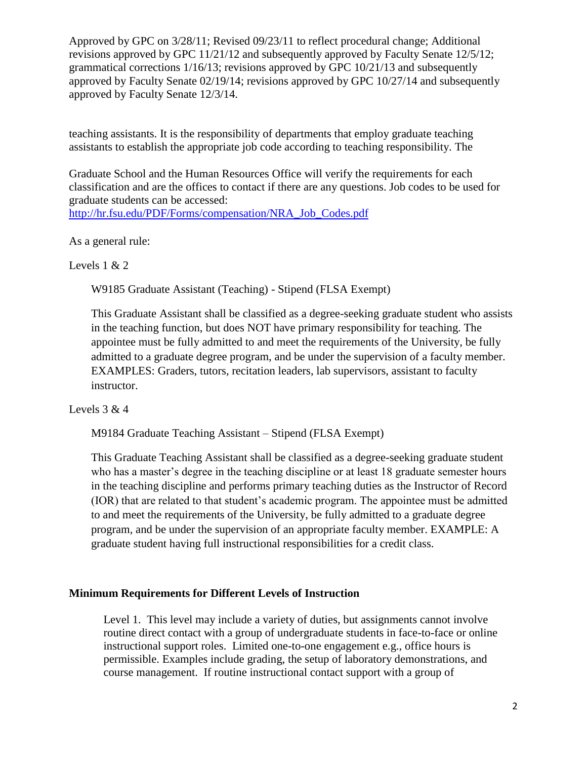teaching assistants. It is the responsibility of departments that employ graduate teaching assistants to establish the appropriate job code according to teaching responsibility. The

Graduate School and the Human Resources Office will verify the requirements for each classification and are the offices to contact if there are any questions. Job codes to be used for graduate students can be accessed:

[http://hr.fsu.edu/PDF/Forms/compensation/NRA\\_Job\\_Codes.pdf](http://hr.fsu.edu/PDF/Forms/compensation/NRA_Job_Codes.pdf)

As a general rule:

Levels  $1 & 2$ 

W9185 Graduate Assistant (Teaching) - Stipend (FLSA Exempt)

This Graduate Assistant shall be classified as a degree-seeking graduate student who assists in the teaching function, but does NOT have primary responsibility for teaching. The appointee must be fully admitted to and meet the requirements of the University, be fully admitted to a graduate degree program, and be under the supervision of a faculty member. EXAMPLES: Graders, tutors, recitation leaders, lab supervisors, assistant to faculty instructor.

## Levels  $3 & 4$

M9184 Graduate Teaching Assistant – Stipend (FLSA Exempt)

This Graduate Teaching Assistant shall be classified as a degree-seeking graduate student who has a master's degree in the teaching discipline or at least 18 graduate semester hours in the teaching discipline and performs primary teaching duties as the Instructor of Record (IOR) that are related to that student's academic program. The appointee must be admitted to and meet the requirements of the University, be fully admitted to a graduate degree program, and be under the supervision of an appropriate faculty member. EXAMPLE: A graduate student having full instructional responsibilities for a credit class.

## **Minimum Requirements for Different Levels of Instruction**

Level 1. This level may include a variety of duties, but assignments cannot involve routine direct contact with a group of undergraduate students in face-to-face or online instructional support roles. Limited one-to-one engagement e.g., office hours is permissible. Examples include grading, the setup of laboratory demonstrations, and course management. If routine instructional contact support with a group of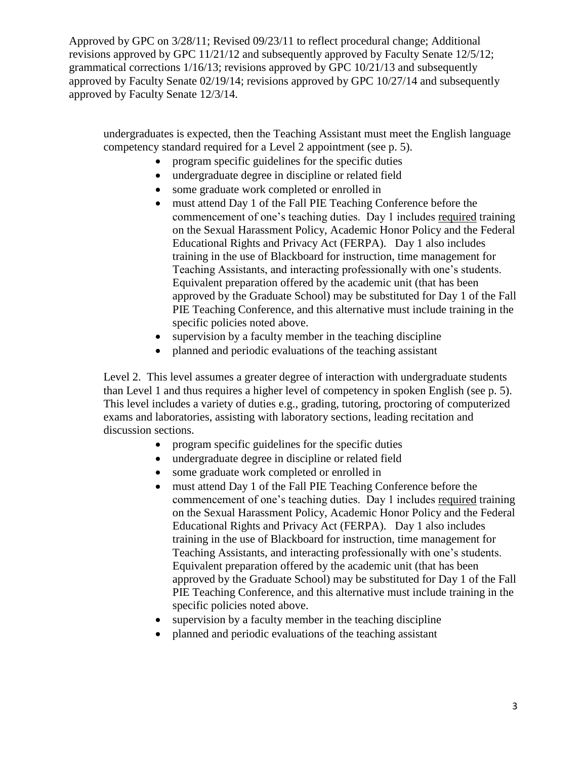undergraduates is expected, then the Teaching Assistant must meet the English language competency standard required for a Level 2 appointment (see p. 5).

- program specific guidelines for the specific duties
- undergraduate degree in discipline or related field
- some graduate work completed or enrolled in
- must attend Day 1 of the Fall PIE Teaching Conference before the commencement of one's teaching duties. Day 1 includes required training on the Sexual Harassment Policy, Academic Honor Policy and the Federal Educational Rights and Privacy Act (FERPA). Day 1 also includes training in the use of Blackboard for instruction, time management for Teaching Assistants, and interacting professionally with one's students. Equivalent preparation offered by the academic unit (that has been approved by the Graduate School) may be substituted for Day 1 of the Fall PIE Teaching Conference, and this alternative must include training in the specific policies noted above.
- supervision by a faculty member in the teaching discipline
- planned and periodic evaluations of the teaching assistant

Level 2. This level assumes a greater degree of interaction with undergraduate students than Level 1 and thus requires a higher level of competency in spoken English (see p. 5). This level includes a variety of duties e.g., grading, tutoring, proctoring of computerized exams and laboratories, assisting with laboratory sections, leading recitation and discussion sections.

- program specific guidelines for the specific duties
- undergraduate degree in discipline or related field
- some graduate work completed or enrolled in
- must attend Day 1 of the Fall PIE Teaching Conference before the commencement of one's teaching duties. Day 1 includes required training on the Sexual Harassment Policy, Academic Honor Policy and the Federal Educational Rights and Privacy Act (FERPA). Day 1 also includes training in the use of Blackboard for instruction, time management for Teaching Assistants, and interacting professionally with one's students. Equivalent preparation offered by the academic unit (that has been approved by the Graduate School) may be substituted for Day 1 of the Fall PIE Teaching Conference, and this alternative must include training in the specific policies noted above.
- supervision by a faculty member in the teaching discipline
- planned and periodic evaluations of the teaching assistant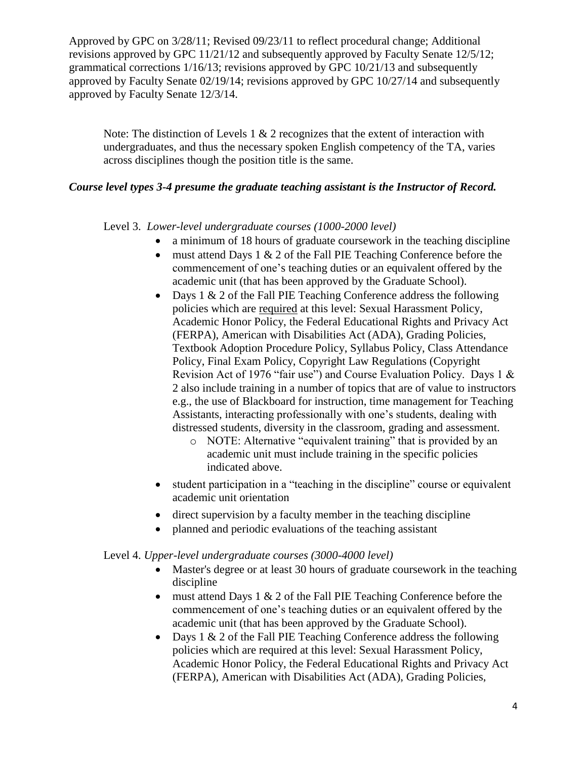Note: The distinction of Levels  $1 \& 2$  recognizes that the extent of interaction with undergraduates, and thus the necessary spoken English competency of the TA, varies across disciplines though the position title is the same.

## *Course level types 3-4 presume the graduate teaching assistant is the Instructor of Record.*

## Level 3. *Lower-level undergraduate courses (1000-2000 level)*

- a minimum of 18 hours of graduate coursework in the teaching discipline
- must attend Days 1  $\&$  2 of the Fall PIE Teaching Conference before the commencement of one's teaching duties or an equivalent offered by the academic unit (that has been approved by the Graduate School).
- Days  $1 \& 2$  of the Fall PIE Teaching Conference address the following policies which are required at this level: Sexual Harassment Policy, Academic Honor Policy, the Federal Educational Rights and Privacy Act (FERPA), American with Disabilities Act (ADA), Grading Policies, Textbook Adoption Procedure Policy, Syllabus Policy, Class Attendance Policy, Final Exam Policy, Copyright Law Regulations (Copyright Revision Act of 1976 "fair use") and Course Evaluation Policy. Days 1 & 2 also include training in a number of topics that are of value to instructors e.g., the use of Blackboard for instruction, time management for Teaching Assistants, interacting professionally with one's students, dealing with distressed students, diversity in the classroom, grading and assessment.
	- o NOTE: Alternative "equivalent training" that is provided by an academic unit must include training in the specific policies indicated above.
- student participation in a "teaching in the discipline" course or equivalent academic unit orientation
- direct supervision by a faculty member in the teaching discipline
- planned and periodic evaluations of the teaching assistant

## Level 4. *Upper-level undergraduate courses (3000-4000 level)*

- Master's degree or at least 30 hours of graduate coursework in the teaching discipline
- must attend Days 1  $\&$  2 of the Fall PIE Teaching Conference before the commencement of one's teaching duties or an equivalent offered by the academic unit (that has been approved by the Graduate School).
- Days  $1 \& 2$  of the Fall PIE Teaching Conference address the following policies which are required at this level: Sexual Harassment Policy, Academic Honor Policy, the Federal Educational Rights and Privacy Act (FERPA), American with Disabilities Act (ADA), Grading Policies,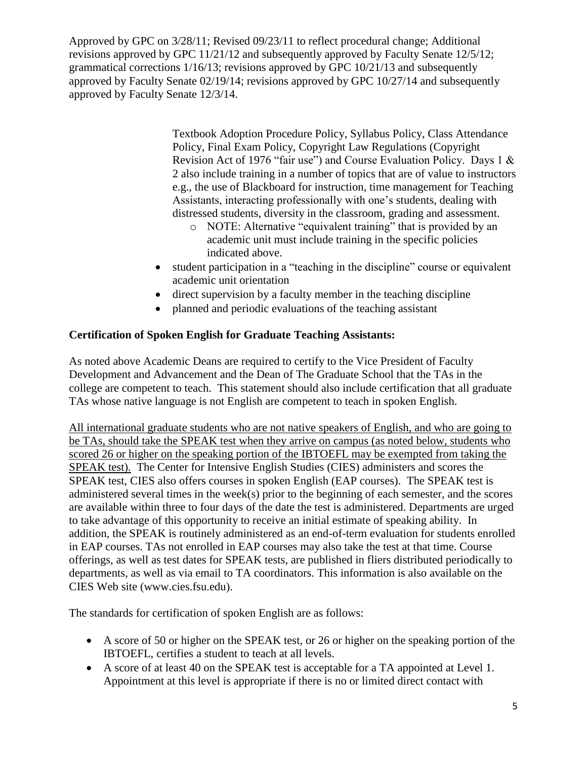> Textbook Adoption Procedure Policy, Syllabus Policy, Class Attendance Policy, Final Exam Policy, Copyright Law Regulations (Copyright Revision Act of 1976 "fair use") and Course Evaluation Policy. Days 1 & 2 also include training in a number of topics that are of value to instructors e.g., the use of Blackboard for instruction, time management for Teaching Assistants, interacting professionally with one's students, dealing with distressed students, diversity in the classroom, grading and assessment.

- o NOTE: Alternative "equivalent training" that is provided by an academic unit must include training in the specific policies indicated above.
- student participation in a "teaching in the discipline" course or equivalent academic unit orientation
- direct supervision by a faculty member in the teaching discipline
- planned and periodic evaluations of the teaching assistant

# **Certification of Spoken English for Graduate Teaching Assistants:**

As noted above Academic Deans are required to certify to the Vice President of Faculty Development and Advancement and the Dean of The Graduate School that the TAs in the college are competent to teach. This statement should also include certification that all graduate TAs whose native language is not English are competent to teach in spoken English.

All international graduate students who are not native speakers of English, and who are going to be TAs, should take the SPEAK test when they arrive on campus (as noted below, students who scored 26 or higher on the speaking portion of the IBTOEFL may be exempted from taking the SPEAK test). The Center for Intensive English Studies (CIES) administers and scores the SPEAK test, CIES also offers courses in spoken English (EAP courses). The SPEAK test is administered several times in the week(s) prior to the beginning of each semester, and the scores are available within three to four days of the date the test is administered. Departments are urged to take advantage of this opportunity to receive an initial estimate of speaking ability. In addition, the SPEAK is routinely administered as an end-of-term evaluation for students enrolled in EAP courses. TAs not enrolled in EAP courses may also take the test at that time. Course offerings, as well as test dates for SPEAK tests, are published in fliers distributed periodically to departments, as well as via email to TA coordinators. This information is also available on the CIES Web site (www.cies.fsu.edu).

The standards for certification of spoken English are as follows:

- A score of 50 or higher on the SPEAK test, or 26 or higher on the speaking portion of the IBTOEFL, certifies a student to teach at all levels.
- A score of at least 40 on the SPEAK test is acceptable for a TA appointed at Level 1. Appointment at this level is appropriate if there is no or limited direct contact with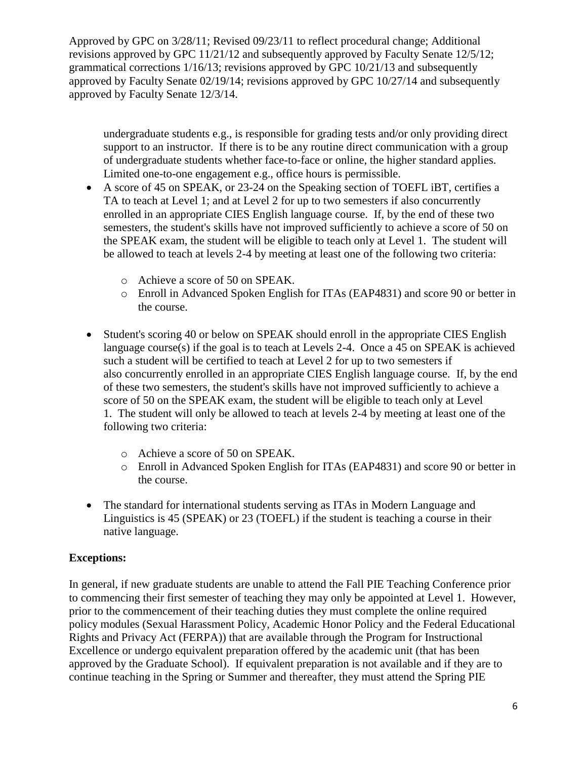undergraduate students e.g., is responsible for grading tests and/or only providing direct support to an instructor. If there is to be any routine direct communication with a group of undergraduate students whether face-to-face or online, the higher standard applies. Limited one-to-one engagement e.g., office hours is permissible.

- A score of 45 on SPEAK, or 23-24 on the Speaking section of TOEFL iBT, certifies a TA to teach at Level 1; and at Level 2 for up to two semesters if also concurrently enrolled in an appropriate CIES English language course. If, by the end of these two semesters, the student's skills have not improved sufficiently to achieve a score of 50 on the SPEAK exam, the student will be eligible to teach only at Level 1. The student will be allowed to teach at levels 2-4 by meeting at least one of the following two criteria:
	- o Achieve a score of 50 on SPEAK.
	- o Enroll in Advanced Spoken English for ITAs (EAP4831) and score 90 or better in the course.
- Student's scoring 40 or below on SPEAK should enroll in the appropriate CIES English language course(s) if the goal is to teach at Levels 2-4. Once a 45 on SPEAK is achieved such a student will be certified to teach at Level 2 for up to two semesters if also concurrently enrolled in an appropriate CIES English language course. If, by the end of these two semesters, the student's skills have not improved sufficiently to achieve a score of 50 on the SPEAK exam, the student will be eligible to teach only at Level 1. The student will only be allowed to teach at levels 2-4 by meeting at least one of the following two criteria:
	- o Achieve a score of 50 on SPEAK.
	- o Enroll in Advanced Spoken English for ITAs (EAP4831) and score 90 or better in the course.
- The standard for international students serving as ITAs in Modern Language and Linguistics is 45 (SPEAK) or 23 (TOEFL) if the student is teaching a course in their native language.

## **Exceptions:**

In general, if new graduate students are unable to attend the Fall PIE Teaching Conference prior to commencing their first semester of teaching they may only be appointed at Level 1. However, prior to the commencement of their teaching duties they must complete the online required policy modules (Sexual Harassment Policy, Academic Honor Policy and the Federal Educational Rights and Privacy Act (FERPA)) that are available through the Program for Instructional Excellence or undergo equivalent preparation offered by the academic unit (that has been approved by the Graduate School). If equivalent preparation is not available and if they are to continue teaching in the Spring or Summer and thereafter, they must attend the Spring PIE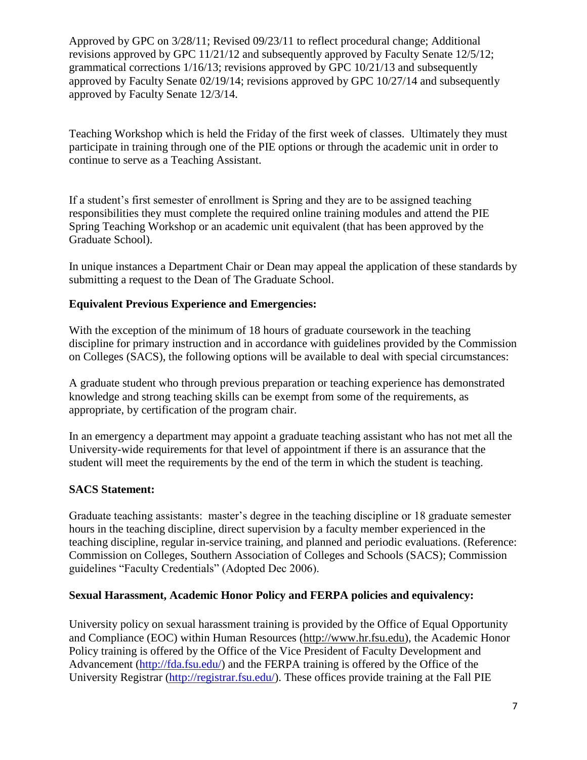Teaching Workshop which is held the Friday of the first week of classes. Ultimately they must participate in training through one of the PIE options or through the academic unit in order to continue to serve as a Teaching Assistant.

If a student's first semester of enrollment is Spring and they are to be assigned teaching responsibilities they must complete the required online training modules and attend the PIE Spring Teaching Workshop or an academic unit equivalent (that has been approved by the Graduate School).

In unique instances a Department Chair or Dean may appeal the application of these standards by submitting a request to the Dean of The Graduate School.

# **Equivalent Previous Experience and Emergencies:**

With the exception of the minimum of 18 hours of graduate coursework in the teaching discipline for primary instruction and in accordance with guidelines provided by the Commission on Colleges (SACS), the following options will be available to deal with special circumstances:

A graduate student who through previous preparation or teaching experience has demonstrated knowledge and strong teaching skills can be exempt from some of the requirements, as appropriate, by certification of the program chair.

In an emergency a department may appoint a graduate teaching assistant who has not met all the University-wide requirements for that level of appointment if there is an assurance that the student will meet the requirements by the end of the term in which the student is teaching.

## **SACS Statement:**

Graduate teaching assistants: master's degree in the teaching discipline or 18 graduate semester hours in the teaching discipline, direct supervision by a faculty member experienced in the teaching discipline, regular in-service training, and planned and periodic evaluations. (Reference: Commission on Colleges, Southern Association of Colleges and Schools (SACS); Commission guidelines "Faculty Credentials" (Adopted Dec 2006).

## **Sexual Harassment, Academic Honor Policy and FERPA policies and equivalency:**

University policy on sexual harassment training is provided by the Office of Equal Opportunity and Compliance (EOC) within Human Resources [\(http://www.hr.fsu.edu\)](http://www.hr.fsu.edu/), the Academic Honor Policy training is offered by the Office of the Vice President of Faculty Development and Advancement [\(http://fda.fsu.edu/\)](http://fda.fsu.edu/) and the FERPA training is offered by the Office of the University Registrar [\(http://registrar.fsu.edu/\)](http://registrar.fsu.edu/). These offices provide training at the Fall PIE